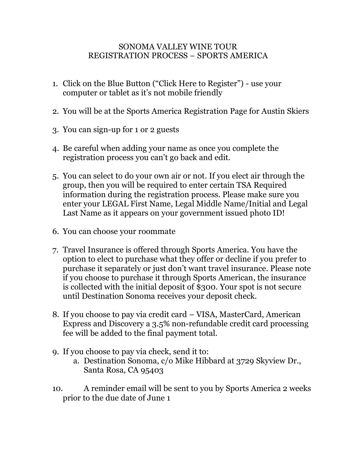## SONOMA VALLEY WINE TOUR REGISTRATION PROCESS – SPORTS AMERICA

- 1. Click on the Blue Button ("Click Here to Register") use your computer or tablet as it's not mobile friendly
- 2. You will be at the Sports America Registration Page for Austin Skiers
- 3. You can sign-up for 1 or 2 guests
- 4. Be careful when adding your name as once you complete the registration process you can't go back and edit.
- 5. You can select to do your own air or not. If you elect air through the group, then you will be required to enter certain TSA Required information during the registration process. Please make sure you enter your LEGAL First Name, Legal Middle Name/Initial and Legal Last Name as it appears on your government issued photo ID!
- 6. You can choose your roommate
- 7. Travel Insurance is offered through Sports America. You have the option to elect to purchase what they offer or decline if you prefer to purchase it separately or just don't want travel insurance. Please note if you choose to purchase it through Sports American, the insurance is collected with the initial deposit of \$300. Your spot is not secure until Destination Sonoma receives your deposit check.
- 8. If you choose to pay via credit card VISA, MasterCard, American Express and Discovery a 3.5% non-refundable credit card processing fee will be added to the final payment total.
- 9. If you choose to pay via check, send it to:
	- a. Destination Sonoma, c/o Mike Hibbard at 3729 Skyview Dr., Santa Rosa, CA 95403
- 10. A reminder email will be sent to you by Sports America 2 weeks prior to the due date of June 1